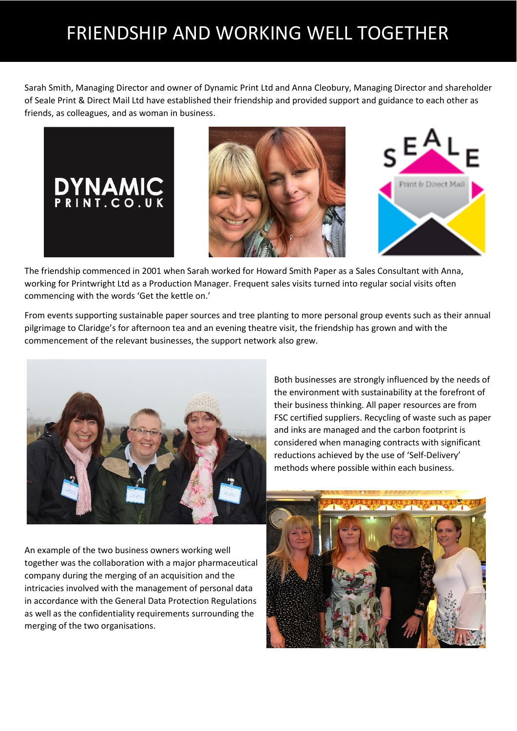## FRIENDSHIP AND WORKING WELL TOGETHER

Sarah Smith, Managing Director and owner of Dynamic Print Ltd and Anna Cleobury, Managing Director and shareholder of Seale Print & Direct Mail Ltd have established their friendship and provided support and guidance to each other as friends, as colleagues, and as woman in business.







The friendship commenced in 2001 when Sarah worked for Howard Smith Paper as a Sales Consultant with Anna, working for Printwright Ltd as a Production Manager. Frequent sales visits turned into regular social visits often commencing with the words 'Get the kettle on.'

From events supporting sustainable paper sources and tree planting to more personal group events such as their annual pilgrimage to Claridge's for afternoon tea and an evening theatre visit, the friendship has grown and with the commencement of the relevant businesses, the support network also grew.



Both businesses are strongly influenced by the needs of the environment with sustainability at the forefront of their business thinking. All paper resources are from FSC certified suppliers. Recycling of waste such as paper and inks are managed and the carbon footprint is considered when managing contracts with significant reductions achieved by the use of 'Self-Delivery' methods where possible within each business.

An example of the two business owners working well together was the collaboration with a major pharmaceutical company during the merging of an acquisition and the intricacies involved with the management of personal data in accordance with the General Data Protection Regulations as well as the confidentiality requirements surrounding the merging of the two organisations.